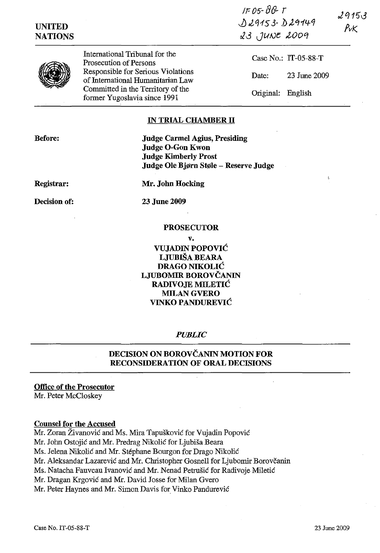| <b>UNITED</b><br><b>NATIONS</b> |                                                                         | $1 - 05 - 00 - 1$<br>0.29153.029149<br>23 JUNE 2009 | 29153<br>$P$ v $K$ |
|---------------------------------|-------------------------------------------------------------------------|-----------------------------------------------------|--------------------|
|                                 | International Tribunal for the<br>Prosecution of Persons                | Case No.: $IT-05-88-T$                              |                    |
|                                 | Responsible for Serious Violations<br>of International Humanitarian Law | 23 June 2009<br>Date:                               |                    |
|                                 | Committed in the Territory of the<br>former Yugoslavia since 1991       | Original:<br>English                                |                    |

# **IN TRIAL CHAMBER IT**

**Before:** 

**Judge Carmel Agius, Presiding Judge O-Gon Kwon Judge Kimberly Prost Judge Ole Bjprn Stple - Reserve Judge** 

**Registrar:** 

**Decision of:** 

**Mr. John Hocking** 

23 June 2009

#### **PROSECUTOR**

**v. VUJADIN POPOVIC LJUBISA BEARA DRAGO NIKOLIC LJUBOMIR BOROVCANIN RADIVOJE MILETIC**  MILAN GVERO **VINKO PANDUREVIC** 

#### *PUBLIC*

# **DECISION ON BOROVČANIN MOTION FOR RECONSIDERATION OF ORAL DECISIONS**

**Office of the Prosecutor** 

Mr. Peter McCloskey

#### **Counsel for the Accused**

Mr. Zoran Živanović and Ms. Mira Tapušković for Vujadin Popović

Mr. John Ostojic and Mr. Predrag Nikolic for Ljubisa Beara

Ms. Jelena Nikolic and Mr. Stephane Bourgon for Drago Nikolic

Mr. Aleksandar Lazarević and Mr. Christopher Gosnell for Ljubomir Borovčanin

Ms. Natacha Fauveau Ivanovic and Mr. Nenad Petrusic for Radivoje Miletic

Mr. Dragan Krgovic and Mr. David Josse for Milan Gvero

Mr. Peter Haynes and Mr. Simon Davis for Vinko Pandurevic

Ŕ,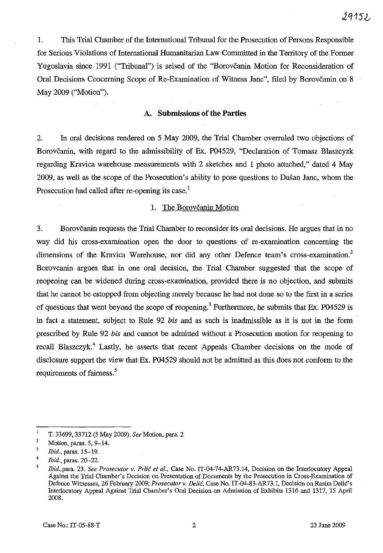1. This Trial Chamber of the International Tribunal for the Prosecution of Persons Responsible for Serious Violations of International Humanitarian Law Committed in the Territory of the Former Yugoslavia since 1991 ("Tribunal") is seised of the "Borovčanin Motion for Reconsideration of Oral Decisions Concerning Scope of Re-Examination of Witness Janc", filed by Borovčanin on 8 May 2009 ("Motion").

#### **A. Submissions of the Parties**

2. In oral decisions rendered on 5 May 2009, the Trial Chamber overruled two objections of Borovčanin, with regard to the admissibility of Ex. P04529, "Declaration of Tomasz Blaszcyzk regarding Kravica warehouse measurements with 2 sketches and 1 photo attached," dated 4 May 2009, as well as the scope of the Prosecution's ability to pose questions to Dusan Janc, whom the Prosecution had called after re-opening its case.<sup>1</sup>

## 1. The Borovčanin Motion

3. Borovčanin requests the Trial Chamber to reconsider its oral decisions. He argues that in no way did his cross-examination open the door to questions of re-examination concerning the dimensions of the Kravica Warehouse, nor did any other Defence team's cross-examination.<sup>2</sup> Borovcanin argues that in one oral decision, the Trial Chamber suggested that the scope of reopening can be widened during cross-examination, provided there is no objection, and submits that he cannot be estopped from objecting merely because he had not done so to the first in a series of questions that went beyond the scope of reopening.<sup>3</sup> Furthermore, he submits that Ex. P04529 is in fact a statement, subject to Rule 92 *bis* and as such is inadmissible as it is not in the form prescribed by Rule 92 *bis* and cannot be admitted without a Prosecution motion for reopening to recall Blaszczyk.<sup>4</sup> Lastly, he asserts that recent Appeals Chamber decisions on the mode of disclosure support the view that Ex. P04529 should not be admitted as this does not conform to the requirements of fairness.<sup>5</sup>

 $\mathbf 1$ T. 33699, 33712 (5 May 2009). *See* Motion, para. 2

<sup>2</sup>  Motion, paras. 5, 9-14.

<sup>3</sup>  *Ibid.,* paras. 15-19.

<sup>4</sup>  *Ibid.,* paras. 20-22.

<sup>5</sup>  *Ibid.,para. 23. See Prosecutor v. Prlić et al., Case No. IT-04-74-AR73.14, Decision on the Interlocutory Appeal* Against the Trial Chamber's Decision on Presentation of Documents by the Prosecution in Cross-Examination of Defence Witnesses, 26 February 2009; Prosecutor v. Delić, Case No. IT-04-83-AR73.1, Decision on Rasim Delić's lnterlocutory Appeal Against Trial Chamber's Oral Decision on Admission of Exhibits 1316 and 1317, 15 April 2008.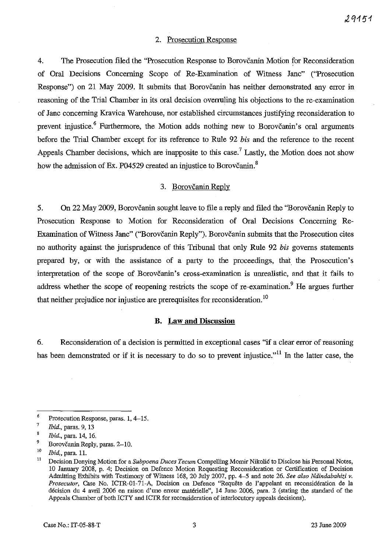## 2. Prosecution Response

4. The Prosecution filed the "Prosecution Response to Borovcanin Motion for Reconsideration of Oral Decisions Concerning Scope of Re-Examination of Witness Janc" ("Prosecution Response") on 21 May 2009. It submits that Borovčanin has neither demonstrated any error in reasoning of the Trial Chamber in its oral decision overruling his objections to the re-examination of Janc concerning Kravica Warehouse, nor established circumstances justifying reconsideration to prevent injustice.<sup>6</sup> Furthermore, the Motion adds nothing new to Borovcanin's oral arguments before the Trial Chamber except for its reference to Rule 92 *bis* and the reference to the recent Appeals Chamber decisions, which are inapposite to this case.<sup>7</sup> Lastly, the Motion does not show how the admission of Ex. P04529 created an injustice to Borovčanin.<sup>8</sup>

# 3. Borovčanin Reply

5. On 22 May 2009, Borovčanin sought leave to file a reply and filed the "Borovčanin Reply to Prosecution Response to Motion for Reconsideration of Oral Decisions Concerning Re-Examination of Witness Janc" ("Borovčanin Reply"). Borovčanin submits that the Prosecution cites no authority against the jurisprudence of this Tribunal that only Rule 92 *bis* governs statements prepared by, or with the assistance of a party to the proceedings, that the Prosecution's interpretation of the scope of Borovčanin's cross-examination is unrealistic, and that it fails to address whether the scope of reopening restricts the scope of re-examination.<sup>9</sup> He argues further that neither prejudice nor injustice are prerequisites for reconsideration. 10

#### **B. Law and Discussion**

6. Reconsideration of a decision is permitted in exceptional cases "if a clear error of reasoning has been demonstrated or if it is necessary to do so to prevent injustice."<sup>11</sup> In the latter case, the

<sup>&</sup>lt;sup>6</sup> Prosecution Response, paras. 1, 4–15.<br><sup>7</sup> *Ibid*, paras. 0, 13.

<sup>7</sup>*Ibid.,* paras. 9, 13

*Ibid.,* para. 14, 16.

 $^{9}$  Borovčanin Reply, paras. 2-10.

<sup>&</sup>lt;sup>10</sup> *Ibid.*, para. 11.

<sup>11</sup> Decision Denying Motion for a *Subpoena Duces Tecum* Compelling Momir Nikolic to Disclose his Personal Notes, 10 January 2008, p. 4; Decision on Defence Motion Requesting Reconsideration or Certification of Decision Admitting Exhibits with Testimony of Witness 168, 20 July 2007, pp. 4-5 and note 26. *See also Ndindabahizi* v. *Prosecutor,* Case No. ICTR-0l-71-A, Decision on Defence "Requete de l'appelant en reconsideration de la decision du 4 avril 2006 en raison d'une erreur materielle", 14 June 2006, para. 2 (stating the standard of the Appeals Chamber of both ICTY and ICTR for reconsideration of interlocutory appeals decisions).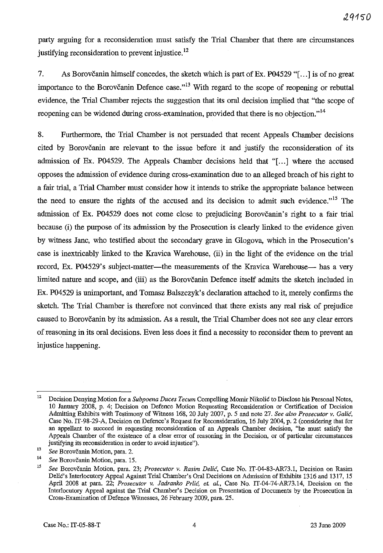party arguing for a reconsideration must satisfy the Trial Chamber that there are circumstances justifying reconsideration to prevent injustice.<sup>12</sup>

7. As Borovčanin himself concedes, the sketch which is part of Ex. P04529 "[...] is of no great importance to the Borovčanin Defence case."<sup>13</sup> With regard to the scope of reopening or rebuttal evidence, the Trial Chamber rejects the suggestion that its oral decision implied that "the scope of reopening can be widened during cross-examination, provided that there is no objection."<sup>14</sup>

8. Furthermore, the Trial Chamber is not persuaded that recent Appeals Chamber decisions cited by Borovcanin are relevant to the issue before it and justify the reconsideration of its admission of Ex. P04529. The Appeals Chamber decisions held that "[...] where the accused opposes the admission of evidence during cross-examination due to an alleged breach of his right to a fair trial, a Trial Chamber must consider how it intends to strike the appropriate balance between the need to ensure the rights of the accused and its decision to admit such evidence."<sup>15</sup> The admission of Ex. P04529 does not come close to prejudicing Borovcanin's right to a fair trial because (i) the purpose of its admission by the Prosecution is clearly linked to the evidence given by witness Janc, who testified about the secondary grave in Glogova, which in the Prosecution's case is inextricably linked to the Kravica Warehouse, (ii) in the light of the evidence on the trial record, Ex. P04529's subject-matter—the measurements of the Kravica Warehouse— has a very limited nature and scope, and (iii) as the Borovčanin Defence itself admits the sketch included in Ex. P04529 is unimportant, and Tomasz Balszczyk's declaration attached to it, merely confirms the sketch. The Trial Chamber is therefore not convinced that there exists any real risk of prejudice caused to Borovcanin by its admission. As a result, the Trial Chamber does not see any clear errors of reasoning in its oral decisions. Even less does it find a necessity to reconsider them to prevent an injustice happening.

<sup>12</sup> Decision Denying Motion for a *Subpoena Duces Tecum* Compelling Momir Nikolic to Disclose his Personal Notes, 10 January 2008, p. 4; Decision on Defence Motion Requesting Reconsideration or Certification of Decision Admitting Exhibits with Testimony of Witness 168, 20 July 2007, p. 5 and note 27. *See also Prosecutor v. Galic,*  Case No. IT-98-29-A, Decision on Defence's Request for Reconsideration, 16 July 2004, p. 2 (considering that for an appellant to succeed in requesting reconsideration of an Appeals Chamber decision, "he must satisfy the Appeals Chamber of the existence of a clear error of reasoning in the Decision, or of particular circumstances justifying its reconsideration in order to avoid injustice").

<sup>&</sup>lt;sup>13</sup> See Borovčanin Motion, para. 2.

<sup>&</sup>lt;sup>14</sup> See Borovčanin Motion, para. 15.

*<sup>15</sup> See* Borovcanin Motion, para. 23; *Prosecutor* v. *Rasim Delic,* Case No. IT-04-83-AR73.1, Decision on Rasirn Delic's Interlocutory Appeal Against Trial Chamber's Oral Decisions on Admission of Exhibits 1316 and 1317, 15 April 2008 at para. 22; *Prosecutor v. Jadranko Prlić, et. al.*, Case No. IT-04-74-AR73.14, Decision on the Interlocutory Appeal against the Trial Chamber's Decision on Presentation of Documents by the Prosecution in Cross-Examination of Defence Witnesses, 26 February 2009, para. 25.